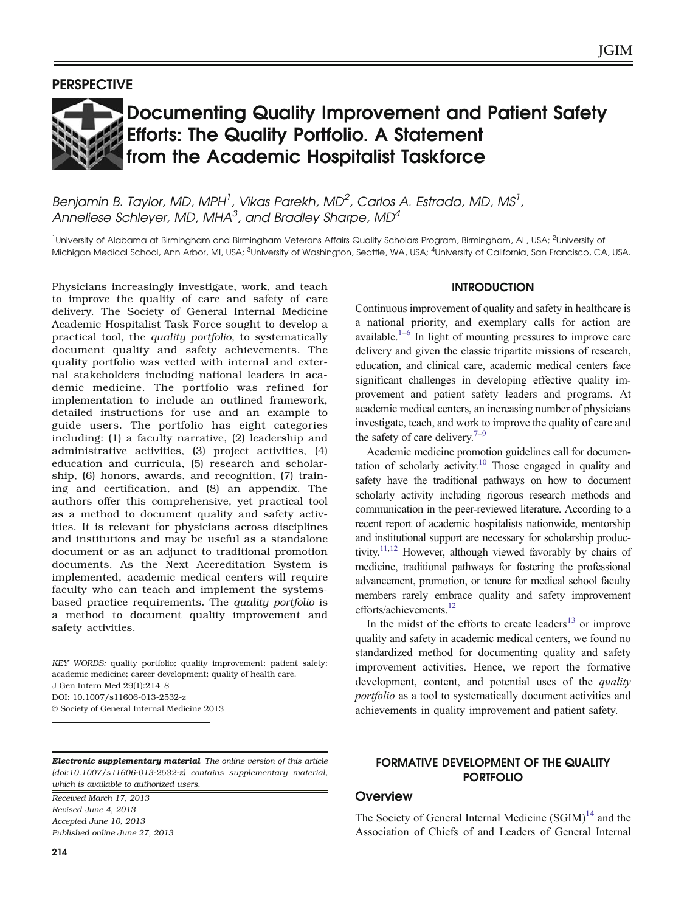# Documenting Quality Improvement and Patient Safety Efforts: The Quality Portfolio. A Statement from the Academic Hospitalist Taskforce

Benjamin B. Taylor, MD, MPH<sup>1</sup>, Vikas Parekh, MD<sup>2</sup>, Carlos A, Estrada, MD, MS<sup>1</sup>, Anneliese Schlever, MD, MHA $^3$ , and Bradlev Sharpe, MD $^4$ 

<sup>1</sup>University of Alabama at Birmingham and Birmingham Veterans Affairs Quality Scholars Program, Birmingham, AL, USA; <sup>2</sup>University of Michigan Medical School, Ann Arbor, MI, USA; <sup>3</sup>University of Washington, Seattle, WA, USA; <sup>4</sup>University of California, San Francisco, CA, USA.

Physicians increasingly investigate, work, and teach to improve the quality of care and safety of care delivery. The Society of General Internal Medicine Academic Hospitalist Task Force sought to develop a practical tool, the quality portfolio, to systematically document quality and safety achievements. The quality portfolio was vetted with internal and external stakeholders including national leaders in academic medicine. The portfolio was refined for implementation to include an outlined framework, detailed instructions for use and an example to guide users. The portfolio has eight categories including: (1) a faculty narrative, (2) leadership and administrative activities, (3) project activities, (4) education and curricula, (5) research and scholarship, (6) honors, awards, and recognition, (7) training and certification, and (8) an appendix. The authors offer this comprehensive, yet practical tool as a method to document quality and safety activities. It is relevant for physicians across disciplines and institutions and may be useful as a standalone document or as an adjunct to traditional promotion documents. As the Next Accreditation System is implemented, academic medical centers will require faculty who can teach and implement the systemsbased practice requirements. The quality portfolio is a method to document quality improvement and safety activities.

KEY WORDS: quality portfolio; quality improvement; patient safety; academic medicine; career development; quality of health care. J Gen Intern Med 29(1):214–8 DOI: 10.1007/s11606-013-2532-z © Society of General Internal Medicine 2013

Electronic supplementary material The online version of this article (doi:[10.1007/s11606-013-2532-z\)](http://dx.doi.org/10.1007/s11606-013-2532-z) contains supplementary material, which is available to authorized users.

Received March 17, 2013 Revised June 4, 2013 Accepted June 10, 2013 Published online June 27, 2013 available.<sup>1–[6](#page-3-0)</sup> In light of mounting pressures to improve care delivery and given the classic tripartite missions of research, education, and clinical care, academic medical centers face significant challenges in developing effective quality improvement and patient safety leaders and programs. At academic medical centers, an increasing number of physicians investigate, teach, and work to improve the quality of care and the safety of care delivery.<sup>[7](#page-3-0)–[9](#page-3-0)</sup>

**INTRODUCTION** Continuous improvement of quality and safety in healthcare is a national priority, and exemplary calls for action are

Academic medicine promotion guidelines call for documentation of scholarly activity.<sup>10</sup> Those engaged in quality and safety have the traditional pathways on how to document scholarly activity including rigorous research methods and communication in the peer-reviewed literature. According to a recent report of academic hospitalists nationwide, mentorship and institutional support are necessary for scholarship productivity.<sup>11,12</sup> However, although viewed favorably by chairs of medicine, traditional pathways for fostering the professional advancement, promotion, or tenure for medical school faculty members rarely embrace quality and safety improvement efforts/achievements.<sup>12</sup>

In the midst of the efforts to create leaders<sup>[13](#page-3-0)</sup> or improve quality and safety in academic medical centers, we found no standardized method for documenting quality and safety improvement activities. Hence, we report the formative development, content, and potential uses of the *quality* portfolio as a tool to systematically document activities and achievements in quality improvement and patient safety.

# FORMATIVE DEVELOPMENT OF THE QUALITY PORTFOLIO

# **Overview**

The Society of General Internal Medicine  $(SGIM)^{14}$  $(SGIM)^{14}$  $(SGIM)^{14}$  and the Association of Chiefs of and Leaders of General Internal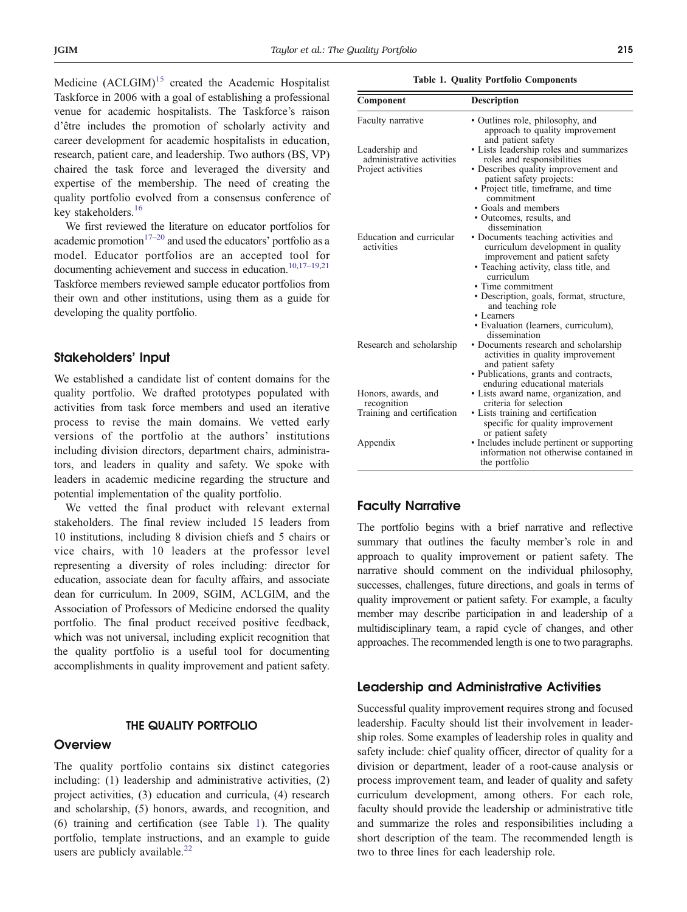Medicine  $(ACLGIM)^{15}$  $(ACLGIM)^{15}$  $(ACLGIM)^{15}$  created the Academic Hospitalist Taskforce in 2006 with a goal of establishing a professional venue for academic hospitalists. The Taskforce's raison d'être includes the promotion of scholarly activity and career development for academic hospitalists in education, research, patient care, and leadership. Two authors (BS, VP) chaired the task force and leveraged the diversity and expertise of the membership. The need of creating the quality portfolio evolved from a consensus conference of key stakeholders.<sup>[16](#page-4-0)</sup>

We first reviewed the literature on educator portfolios for academic promotion $17-20$  $17-20$  and used the educators' portfolio as a model. Educator portfolios are an accepted tool for documenting achievement and success in education.<sup>10[,17](#page-4-0)-[19,21](#page-4-0)</sup> Taskforce members reviewed sample educator portfolios from their own and other institutions, using them as a guide for developing the quality portfolio.

## Stakeholders' Input

We established a candidate list of content domains for the quality portfolio. We drafted prototypes populated with activities from task force members and used an iterative process to revise the main domains. We vetted early versions of the portfolio at the authors' institutions including division directors, department chairs, administrators, and leaders in quality and safety. We spoke with leaders in academic medicine regarding the structure and potential implementation of the quality portfolio.

We vetted the final product with relevant external stakeholders. The final review included 15 leaders from 10 institutions, including 8 division chiefs and 5 chairs or vice chairs, with 10 leaders at the professor level representing a diversity of roles including: director for education, associate dean for faculty affairs, and associate dean for curriculum. In 2009, SGIM, ACLGIM, and the Association of Professors of Medicine endorsed the quality portfolio. The final product received positive feedback, which was not universal, including explicit recognition that the quality portfolio is a useful tool for documenting accomplishments in quality improvement and patient safety.

#### THE QUALITY PORTFOLIO

#### **Overview**

The quality portfolio contains six distinct categories including: (1) leadership and administrative activities, (2) project activities, (3) education and curricula, (4) research and scholarship, (5) honors, awards, and recognition, and (6) training and certification (see Table 1). The quality portfolio, template instructions, and an example to guide users are publicly available. $^{22}$  $^{22}$  $^{22}$ 

|  |  |  | <b>Table 1. Quality Portfolio Components</b> |
|--|--|--|----------------------------------------------|
|--|--|--|----------------------------------------------|

| Component                                   | Description                                                                                                                |
|---------------------------------------------|----------------------------------------------------------------------------------------------------------------------------|
| Faculty narrative                           | • Outlines role, philosophy, and<br>approach to quality improvement<br>and patient safety                                  |
| Leadership and<br>administrative activities | • Lists leadership roles and summarizes<br>roles and responsibilities                                                      |
| Project activities                          | · Describes quality improvement and<br>patient safety projects:                                                            |
|                                             | • Project title, timeframe, and time<br>commitment                                                                         |
|                                             | • Goals and members                                                                                                        |
|                                             | • Outcomes, results, and<br>dissemination                                                                                  |
| Education and curricular<br>activities      | • Documents teaching activities and<br>curriculum development in quality<br>improvement and patient safety                 |
|                                             | • Teaching activity, class title, and<br>curriculum                                                                        |
|                                             | • Time commitment                                                                                                          |
|                                             | • Description, goals, format, structure,<br>and teaching role                                                              |
|                                             | • Learners<br>• Evaluation (learners, curriculum),<br>dissemination                                                        |
| Research and scholarship                    | • Documents research and scholarship<br>activities in quality improvement<br>and patient safety                            |
|                                             | • Publications, grants and contracts,<br>enduring educational materials                                                    |
| Honors, awards, and<br>recognition          | • Lists award name, organization, and<br>criteria for selection                                                            |
| Training and certification                  | • Lists training and certification<br>specific for quality improvement                                                     |
| Appendix                                    | or patient safety<br>• Includes include pertinent or supporting<br>information not otherwise contained in<br>the portfolio |

# Faculty Narrative

The portfolio begins with a brief narrative and reflective summary that outlines the faculty member's role in and approach to quality improvement or patient safety. The narrative should comment on the individual philosophy, successes, challenges, future directions, and goals in terms of quality improvement or patient safety. For example, a faculty member may describe participation in and leadership of a multidisciplinary team, a rapid cycle of changes, and other approaches. The recommended length is one to two paragraphs.

## Leadership and Administrative Activities

Successful quality improvement requires strong and focused leadership. Faculty should list their involvement in leadership roles. Some examples of leadership roles in quality and safety include: chief quality officer, director of quality for a division or department, leader of a root-cause analysis or process improvement team, and leader of quality and safety curriculum development, among others. For each role, faculty should provide the leadership or administrative title and summarize the roles and responsibilities including a short description of the team. The recommended length is two to three lines for each leadership role.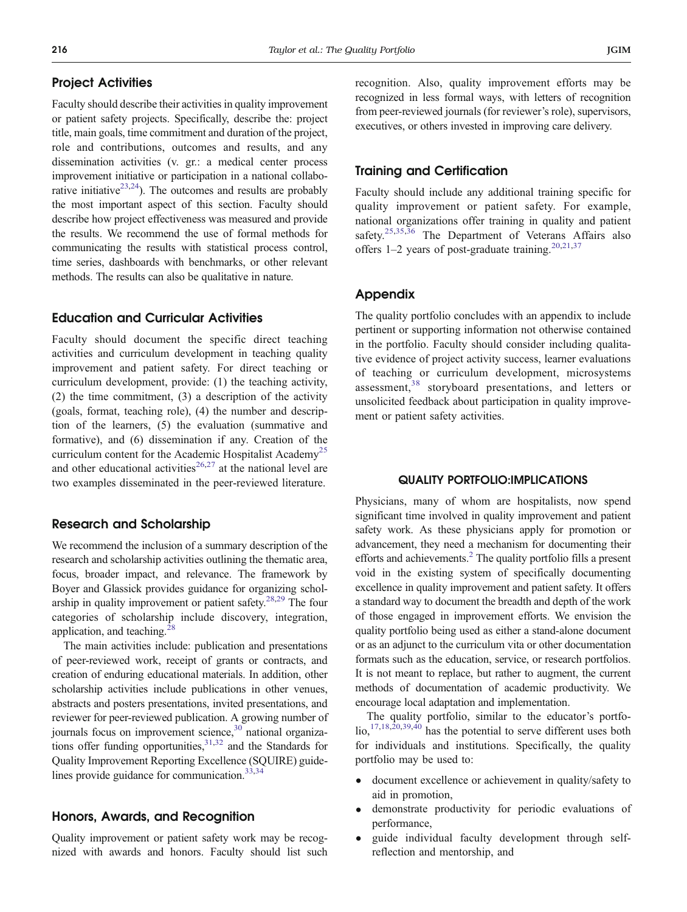# Project Activities

Faculty should describe their activities in quality improvement or patient safety projects. Specifically, describe the: project title, main goals, time commitment and duration of the project, role and contributions, outcomes and results, and any dissemination activities (v. gr.: a medical center process improvement initiative or participation in a national collaborative initiative $2^{3,24}$ ). The outcomes and results are probably the most important aspect of this section. Faculty should describe how project effectiveness was measured and provide the results. We recommend the use of formal methods for communicating the results with statistical process control, time series, dashboards with benchmarks, or other relevant methods. The results can also be qualitative in nature.

## Education and Curricular Activities

Faculty should document the specific direct teaching activities and curriculum development in teaching quality improvement and patient safety. For direct teaching or curriculum development, provide: (1) the teaching activity, (2) the time commitment, (3) a description of the activity (goals, format, teaching role), (4) the number and description of the learners, (5) the evaluation (summative and formative), and (6) dissemination if any. Creation of the curriculum content for the Academic Hospitalist Academy<sup>[25](#page-4-0)</sup> and other educational activities<sup>[26,27](#page-4-0)</sup> at the national level are two examples disseminated in the peer-reviewed literature.

## Research and Scholarship

We recommend the inclusion of a summary description of the research and scholarship activities outlining the thematic area, focus, broader impact, and relevance. The framework by Boyer and Glassick provides guidance for organizing schol-arship in quality improvement or patient safety.<sup>[28](#page-4-0),[29](#page-4-0)</sup> The four categories of scholarship include discovery, integration, application, and teaching. $^{2}$ 

The main activities include: publication and presentations of peer-reviewed work, receipt of grants or contracts, and creation of enduring educational materials. In addition, other scholarship activities include publications in other venues, abstracts and posters presentations, invited presentations, and reviewer for peer-reviewed publication. A growing number of journals focus on improvement science, $30$  national organizations offer funding opportunities,  $31,32$  and the Standards for Quality Improvement Reporting Excellence (SQUIRE) guidelines provide guidance for communication.<sup>33,34</sup>

# Honors, Awards, and Recognition

Quality improvement or patient safety work may be recognized with awards and honors. Faculty should list such recognition. Also, quality improvement efforts may be recognized in less formal ways, with letters of recognition from peer-reviewed journals (for reviewer's role), supervisors, executives, or others invested in improving care delivery.

## Training and Certification

Faculty should include any additional training specific for quality improvement or patient safety. For example, national organizations offer training in quality and patient safety.<sup>[25,35,36](#page-4-0)</sup> The Department of Veterans Affairs also offers  $1-2$  years of post-graduate training.<sup>[20,21](#page-4-0),[37](#page-4-0)</sup>

## Appendix

The quality portfolio concludes with an appendix to include pertinent or supporting information not otherwise contained in the portfolio. Faculty should consider including qualitative evidence of project activity success, learner evaluations of teaching or curriculum development, microsystems assessment,<sup>[38](#page-4-0)</sup> storyboard presentations, and letters or unsolicited feedback about participation in quality improvement or patient safety activities.

#### QUALITY PORTFOLIO:IMPLICATIONS

Physicians, many of whom are hospitalists, now spend significant time involved in quality improvement and patient safety work. As these physicians apply for promotion or advancement, they need a mechanism for documenting their efforts and achievements.<sup>[2](#page-3-0)</sup> The quality portfolio fills a present void in the existing system of specifically documenting excellence in quality improvement and patient safety. It offers a standard way to document the breadth and depth of the work of those engaged in improvement efforts. We envision the quality portfolio being used as either a stand-alone document or as an adjunct to the curriculum vita or other documentation formats such as the education, service, or research portfolios. It is not meant to replace, but rather to augment, the current methods of documentation of academic productivity. We encourage local adaptation and implementation.

The quality portfolio, similar to the educator's portfolio,[17,18,20,39,40](#page-4-0) has the potential to serve different uses both for individuals and institutions. Specifically, the quality portfolio may be used to:

- document excellence or achievement in quality/safety to aid in promotion,
- demonstrate productivity for periodic evaluations of performance,
- guide individual faculty development through selfreflection and mentorship, and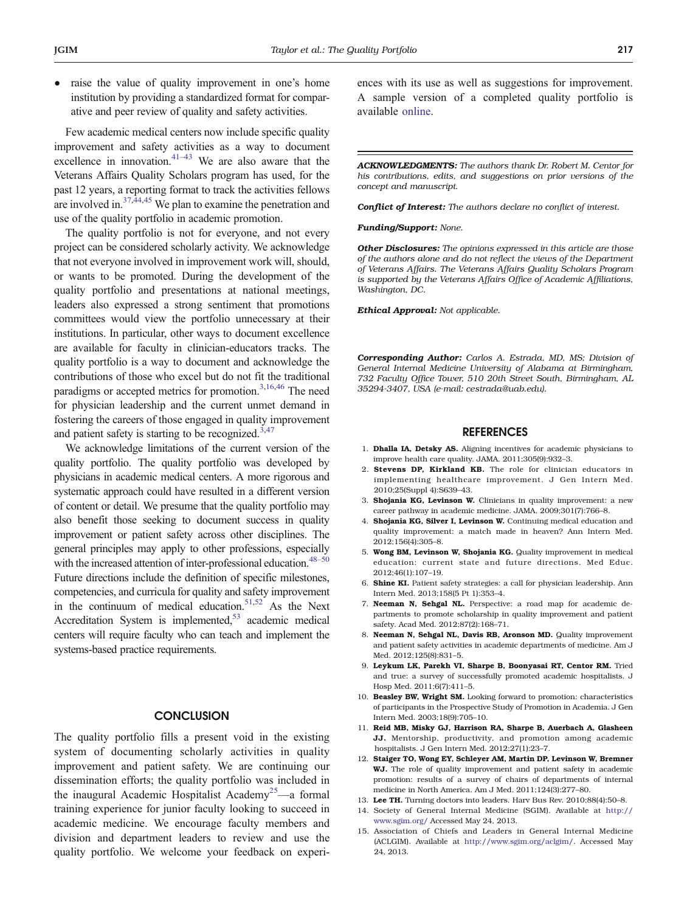<span id="page-3-0"></span>• raise the value of quality improvement in one's home institution by providing a standardized format for comparative and peer review of quality and safety activities.

Few academic medical centers now include specific quality improvement and safety activities as a way to document excellence in innovation.<sup>[41](#page-4-0)–[43](#page-4-0)</sup> We are also aware that the Veterans Affairs Quality Scholars program has used, for the past 12 years, a reporting format to track the activities fellows are involved in. $37,44,45$  We plan to examine the penetration and use of the quality portfolio in academic promotion.

The quality portfolio is not for everyone, and not every project can be considered scholarly activity. We acknowledge that not everyone involved in improvement work will, should, or wants to be promoted. During the development of the quality portfolio and presentations at national meetings, leaders also expressed a strong sentiment that promotions committees would view the portfolio unnecessary at their institutions. In particular, other ways to document excellence are available for faculty in clinician-educators tracks. The quality portfolio is a way to document and acknowledge the contributions of those who excel but do not fit the traditional paradigms or accepted metrics for promotion.<sup>3[,16,46](#page-4-0)</sup> The need for physician leadership and the current unmet demand in fostering the careers of those engaged in quality improvement and patient safety is starting to be recognized. $3,47$  $3,47$ 

We acknowledge limitations of the current version of the quality portfolio. The quality portfolio was developed by physicians in academic medical centers. A more rigorous and systematic approach could have resulted in a different version of content or detail. We presume that the quality portfolio may also benefit those seeking to document success in quality improvement or patient safety across other disciplines. The general principles may apply to other professions, especially with the increased attention of inter-professional education.<sup>48–[50](#page-4-0)</sup> Future directions include the definition of specific milestones, competencies, and curricula for quality and safety improvement in the continuum of medical education. $51,52$  $51,52$  As the Next Accreditation System is implemented, $53$  academic medical centers will require faculty who can teach and implement the systems-based practice requirements.

## **CONCLUSION**

The quality portfolio fills a present void in the existing system of documenting scholarly activities in quality improvement and patient safety. We are continuing our dissemination efforts; the quality portfolio was included in the inaugural Academic Hospitalist Academy<sup>[25](#page-4-0)</sup>—a formal training experience for junior faculty looking to succeed in academic medicine. We encourage faculty members and division and department leaders to review and use the quality portfolio. We welcome your feedback on experiences with its use as well as suggestions for improvement. A sample version of a completed quality portfolio is available online.

ACKNOWLEDGMENTS: The authors thank Dr. Robert M. Centor for his contributions, edits, and suggestions on prior versions of the concept and manuscript.

Conflict of Interest: The authors declare no conflict of interest.

Funding/Support: None.

Other Disclosures: The opinions expressed in this article are those of the authors alone and do not reflect the views of the Department of Veterans Affairs. The Veterans Affairs Quality Scholars Program is supported by the Veterans Affairs Office of Academic Affiliations, Washington, DC.

Ethical Approval: Not applicable.

Corresponding Author: Carlos A. Estrada, MD, MS; Division of General Internal Medicine University of Alabama at Birmingham, 732 Faculty Office Tower, 510 20th Street South, Birmingham, AL 35294-3407, USA (e-mail: cestrada@uab.edu).

#### REFERENCES

- 1. Dhalla IA, Detsky AS. Aligning incentives for academic physicians to improve health care quality. JAMA. 2011;305(9):932–3.
- 2. Stevens DP, Kirkland KB. The role for clinician educators in implementing healthcare improvement. J Gen Intern Med. 2010;25(Suppl 4):S639–43.
- 3. Shojania KG, Levinson W. Clinicians in quality improvement: a new career pathway in academic medicine. JAMA. 2009;301(7):766–8.
- 4. Shojania KG, Silver I, Levinson W. Continuing medical education and quality improvement: a match made in heaven? Ann Intern Med. 2012;156(4):305–8.
- 5. Wong BM, Levinson W, Shojania KG. Quality improvement in medical education: current state and future directions. Med Educ. 2012;46(1):107–19.
- 6. Shine KI. Patient safety strategies: a call for physician leadership. Ann Intern Med. 2013;158(5 Pt 1):353–4.
- 7. Neeman N, Sehgal NL. Perspective: a road map for academic departments to promote scholarship in quality improvement and patient safety. Acad Med. 2012;87(2):168–71.
- 8. Neeman N, Sehgal NL, Davis RB, Aronson MD. Quality improvement and patient safety activities in academic departments of medicine. Am J Med. 2012;125(8):831–5.
- 9. Leykum LK, Parekh VI, Sharpe B, Boonyasai RT, Centor RM. Tried and true: a survey of successfully promoted academic hospitalists. J Hosp Med. 2011;6(7):411–5.
- 10. Beasley BW, Wright SM. Looking forward to promotion: characteristics of participants in the Prospective Study of Promotion in Academia. J Gen Intern Med. 2003;18(9):705–10.
- 11. Reid MB, Misky GJ, Harrison RA, Sharpe B, Auerbach A, Glasheen JJ. Mentorship, productivity, and promotion among academic hospitalists. J Gen Intern Med. 2012;27(1):23–7.
- 12. Staiger TO, Wong EY, Schleyer AM, Martin DP, Levinson W, Bremner WJ. The role of quality improvement and patient safety in academic promotion: results of a survey of chairs of departments of internal medicine in North America. Am J Med. 2011;124(3):277–80.
- 13. Lee TH. Turning doctors into leaders. Harv Bus Rev. 2010;88(4):50–8.
- 14. Society of General Internal Medicine (SGIM). Available at [http://](http://www.sgim.org/) [www.sgim.org/](http://www.sgim.org/) Accessed May 24, 2013.
- 15. Association of Chiefs and Leaders in General Internal Medicine (ACLGIM). Available at <http://www.sgim.org/aclgim/>. Accessed May 24, 2013.